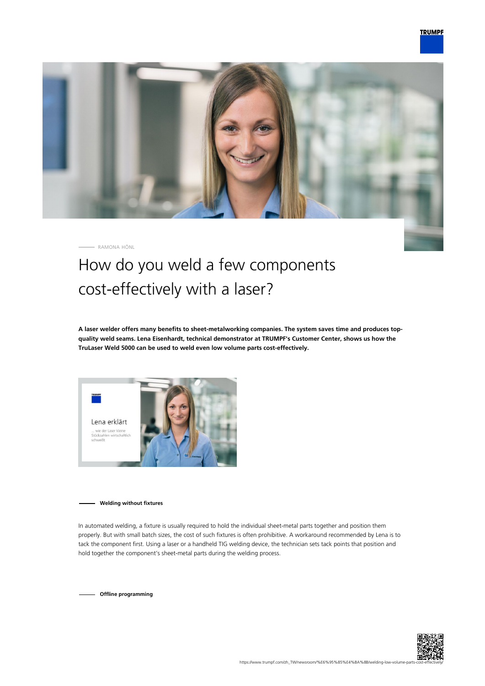

RAMONA HÖNL

## How do you weld a few components cost-effectively with a laser?

**A laser welder offers many benefits to sheet-metalworking companies. The system saves time and produces topquality weld seams. Lena Eisenhardt, technical demonstrator at TRUMPF's Customer Center, shows us how the TruLaser Weld 5000 can be used to weld even low volume parts cost-effectively.**



**Welding without fixtures**

In automated welding, a fixture is usually required to hold the individual sheet-metal parts together and position them properly. But with small batch sizes, the cost of such fixtures is often prohibitive. A workaround recommended by Lena is to tack the component first. Using a laser or a handheld TIG welding device, the technician sets tack points that position and hold together the component's sheet-metal parts during the welding process.

**Offline programming**